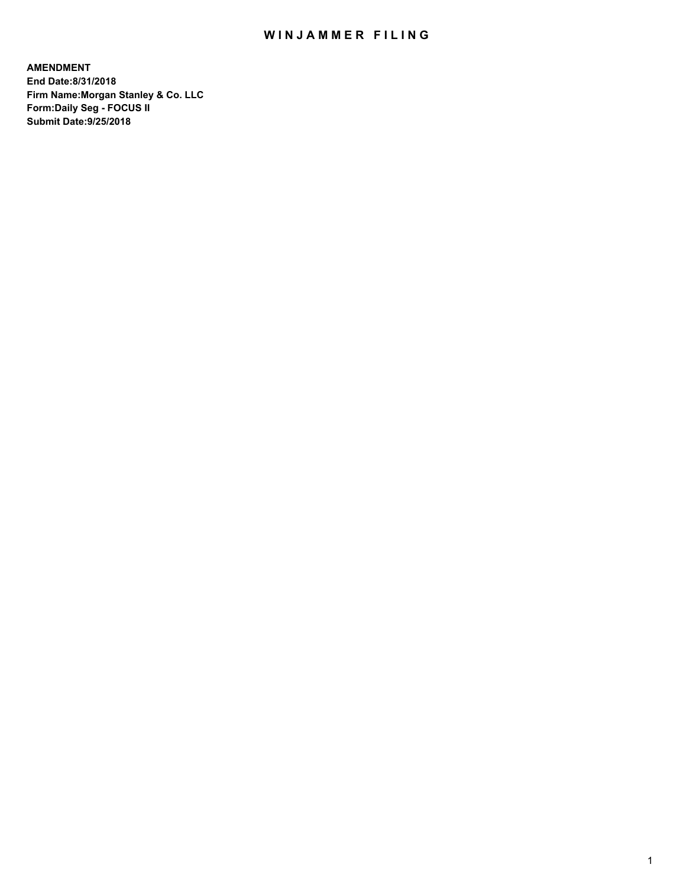## WIN JAMMER FILING

**AMENDMENT End Date:8/31/2018 Firm Name:Morgan Stanley & Co. LLC Form:Daily Seg - FOCUS II Submit Date:9/25/2018**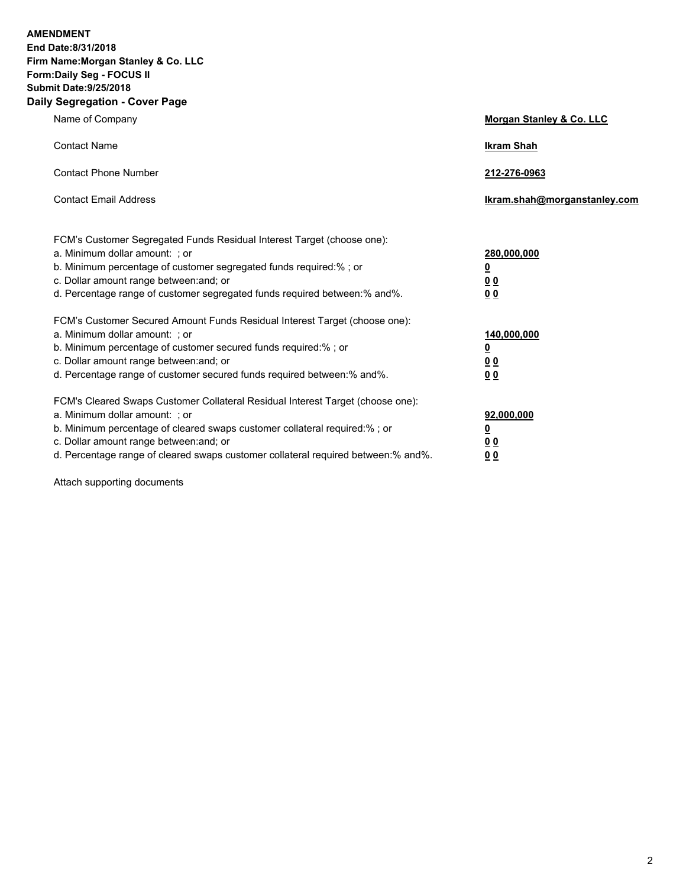**AMENDMENT End Date:8/31/2018 Firm Name:Morgan Stanley & Co. LLC Form:Daily Seg - FOCUS II Submit Date:9/25/2018 Daily Segregation - Cover Page**

| Name of Company                                                                                                                                                                                                                                                                                                                | Morgan Stanley & Co. LLC                                |
|--------------------------------------------------------------------------------------------------------------------------------------------------------------------------------------------------------------------------------------------------------------------------------------------------------------------------------|---------------------------------------------------------|
| <b>Contact Name</b>                                                                                                                                                                                                                                                                                                            | <b>Ikram Shah</b>                                       |
| <b>Contact Phone Number</b>                                                                                                                                                                                                                                                                                                    | 212-276-0963                                            |
| <b>Contact Email Address</b>                                                                                                                                                                                                                                                                                                   | Ikram.shah@morganstanley.com                            |
| FCM's Customer Segregated Funds Residual Interest Target (choose one):<br>a. Minimum dollar amount: : or<br>b. Minimum percentage of customer segregated funds required:% ; or<br>c. Dollar amount range between: and; or<br>d. Percentage range of customer segregated funds required between:% and%.                         | 280,000,000<br><u>0</u><br><u>00</u><br>00              |
| FCM's Customer Secured Amount Funds Residual Interest Target (choose one):<br>a. Minimum dollar amount: ; or<br>b. Minimum percentage of customer secured funds required:%; or<br>c. Dollar amount range between: and; or<br>d. Percentage range of customer secured funds required between:% and%.                            | 140,000,000<br><u>0</u><br><u>0 0</u><br>0 <sub>0</sub> |
| FCM's Cleared Swaps Customer Collateral Residual Interest Target (choose one):<br>a. Minimum dollar amount: ; or<br>b. Minimum percentage of cleared swaps customer collateral required:% ; or<br>c. Dollar amount range between: and; or<br>d. Percentage range of cleared swaps customer collateral required between:% and%. | 92,000,000<br><u>0</u><br><u>0 0</u><br>0 <sub>0</sub>  |

Attach supporting documents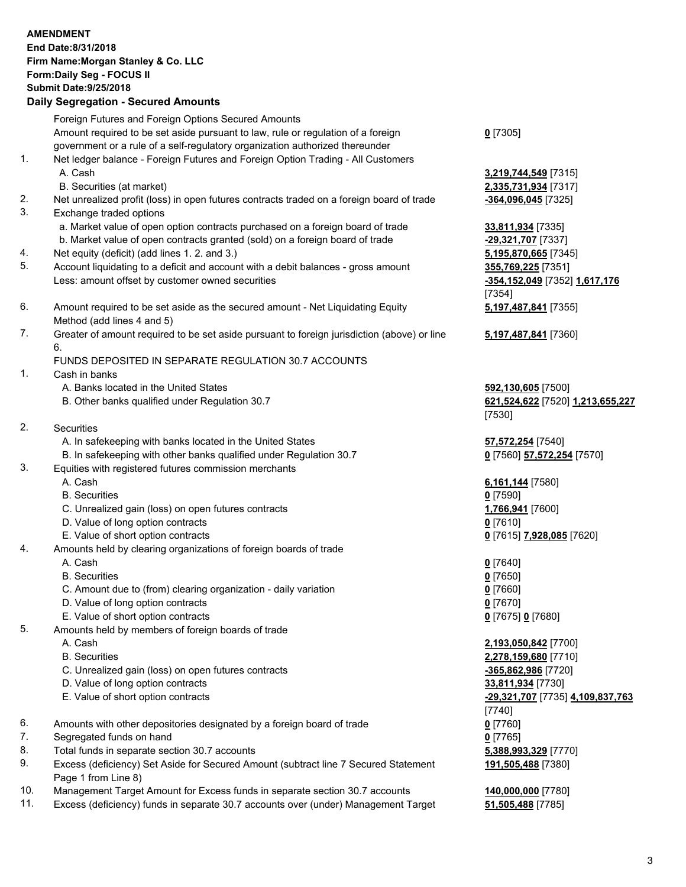|          | <b>AMENDMENT</b><br>End Date:8/31/2018<br>Firm Name: Morgan Stanley & Co. LLC<br>Form: Daily Seg - FOCUS II<br><b>Submit Date: 9/25/2018</b>                                                                                                                                                               |                                                                  |
|----------|------------------------------------------------------------------------------------------------------------------------------------------------------------------------------------------------------------------------------------------------------------------------------------------------------------|------------------------------------------------------------------|
|          | <b>Daily Segregation - Secured Amounts</b>                                                                                                                                                                                                                                                                 |                                                                  |
| 1.       | Foreign Futures and Foreign Options Secured Amounts<br>Amount required to be set aside pursuant to law, rule or regulation of a foreign<br>government or a rule of a self-regulatory organization authorized thereunder<br>Net ledger balance - Foreign Futures and Foreign Option Trading - All Customers | $0$ [7305]                                                       |
|          | A. Cash<br>B. Securities (at market)                                                                                                                                                                                                                                                                       | 3,219,744,549 [7315]<br>2,335,731,934 [7317]                     |
| 2.<br>3. | Net unrealized profit (loss) in open futures contracts traded on a foreign board of trade<br>Exchange traded options                                                                                                                                                                                       | -364,096,045 [7325]                                              |
| 4.       | a. Market value of open option contracts purchased on a foreign board of trade<br>b. Market value of open contracts granted (sold) on a foreign board of trade<br>Net equity (deficit) (add lines 1. 2. and 3.)                                                                                            | 33,811,934 [7335]<br>-29,321,707 [7337]<br>5,195,870,665 [7345]  |
| 5.       | Account liquidating to a deficit and account with a debit balances - gross amount<br>Less: amount offset by customer owned securities                                                                                                                                                                      | 355,769,225 [7351]<br>-354,152,049 [7352] 1,617,176<br>[7354]    |
| 6.       | Amount required to be set aside as the secured amount - Net Liquidating Equity<br>Method (add lines 4 and 5)                                                                                                                                                                                               | 5,197,487,841 [7355]                                             |
| 7.       | Greater of amount required to be set aside pursuant to foreign jurisdiction (above) or line<br>6.                                                                                                                                                                                                          | 5,197,487,841 [7360]                                             |
|          | FUNDS DEPOSITED IN SEPARATE REGULATION 30.7 ACCOUNTS                                                                                                                                                                                                                                                       |                                                                  |
| 1.       | Cash in banks<br>A. Banks located in the United States                                                                                                                                                                                                                                                     |                                                                  |
|          | B. Other banks qualified under Regulation 30.7                                                                                                                                                                                                                                                             | 592,130,605 [7500]<br>621,524,622 [7520] 1,213,655,227<br>[7530] |
| 2.       | Securities                                                                                                                                                                                                                                                                                                 |                                                                  |
|          | A. In safekeeping with banks located in the United States                                                                                                                                                                                                                                                  | 57,572,254 [7540]                                                |
| 3.       | B. In safekeeping with other banks qualified under Regulation 30.7<br>Equities with registered futures commission merchants                                                                                                                                                                                | 0 [7560] 57,572,254 [7570]                                       |
|          | A. Cash                                                                                                                                                                                                                                                                                                    | 6,161,144 [7580]                                                 |
|          | <b>B.</b> Securities<br>C. Unrealized gain (loss) on open futures contracts                                                                                                                                                                                                                                | $0$ [7590]<br>1,766,941 [7600]                                   |
|          | D. Value of long option contracts                                                                                                                                                                                                                                                                          | $0$ [7610]                                                       |
|          | E. Value of short option contracts                                                                                                                                                                                                                                                                         | 0 [7615] 7,928,085 [7620]                                        |
| 4.       | Amounts held by clearing organizations of foreign boards of trade                                                                                                                                                                                                                                          |                                                                  |
|          | A. Cash                                                                                                                                                                                                                                                                                                    | $0$ [7640]                                                       |
|          | <b>B.</b> Securities                                                                                                                                                                                                                                                                                       | $0$ [7650]                                                       |
|          | C. Amount due to (from) clearing organization - daily variation                                                                                                                                                                                                                                            | $0$ [7660]                                                       |
|          | D. Value of long option contracts                                                                                                                                                                                                                                                                          | $0$ [7670]                                                       |
|          | E. Value of short option contracts                                                                                                                                                                                                                                                                         | 0 [7675] 0 [7680]                                                |
| 5.       | Amounts held by members of foreign boards of trade                                                                                                                                                                                                                                                         |                                                                  |
|          | A. Cash<br><b>B.</b> Securities                                                                                                                                                                                                                                                                            | 2,193,050,842 [7700]<br>2,278,159,680 [7710]                     |
|          | C. Unrealized gain (loss) on open futures contracts                                                                                                                                                                                                                                                        | -365,862,986 [7720]                                              |
|          | D. Value of long option contracts                                                                                                                                                                                                                                                                          | 33,811,934 [7730]                                                |
|          | E. Value of short option contracts                                                                                                                                                                                                                                                                         | -29,321,707 [7735] 4,109,837,763                                 |
|          |                                                                                                                                                                                                                                                                                                            | [7740]                                                           |
| 6.       | Amounts with other depositories designated by a foreign board of trade                                                                                                                                                                                                                                     | $0$ [7760]                                                       |
| 7.       | Segregated funds on hand                                                                                                                                                                                                                                                                                   | $0$ [7765]                                                       |
| 8.       | Total funds in separate section 30.7 accounts                                                                                                                                                                                                                                                              | 5,388,993,329 [7770]                                             |
| 9.       | Excess (deficiency) Set Aside for Secured Amount (subtract line 7 Secured Statement<br>Page 1 from Line 8)                                                                                                                                                                                                 | 191,505,488 [7380]                                               |
| 10.      | Management Target Amount for Excess funds in separate section 30.7 accounts                                                                                                                                                                                                                                | 140,000,000 [7780]                                               |

11. Excess (deficiency) funds in separate 30.7 accounts over (under) Management Target **51,505,488** [7785]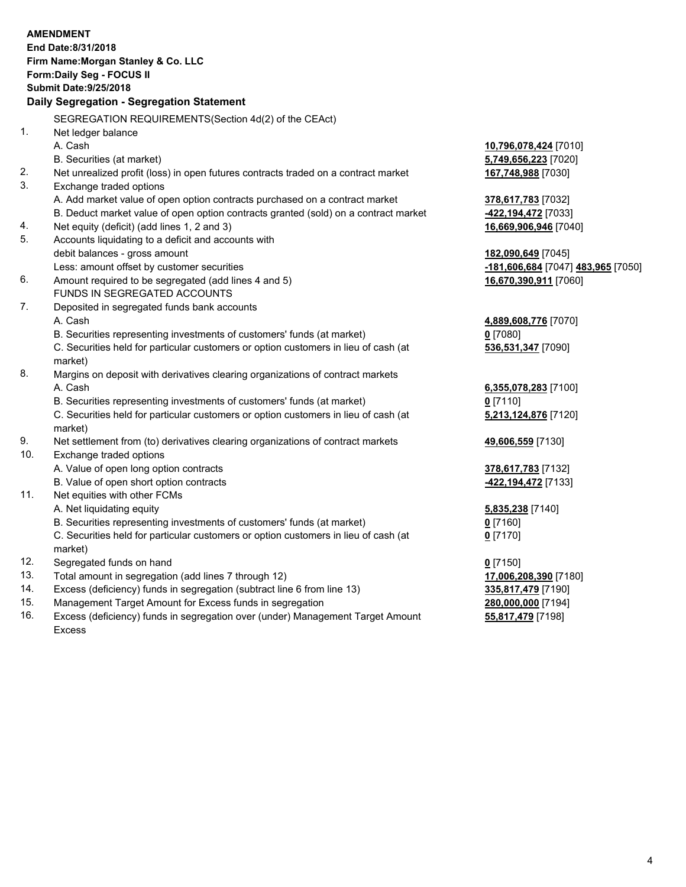|     | <b>AMENDMENT</b>                                                                    |                                           |
|-----|-------------------------------------------------------------------------------------|-------------------------------------------|
|     | End Date: 8/31/2018                                                                 |                                           |
|     | Firm Name: Morgan Stanley & Co. LLC                                                 |                                           |
|     | Form: Daily Seg - FOCUS II                                                          |                                           |
|     | <b>Submit Date: 9/25/2018</b>                                                       |                                           |
|     | Daily Segregation - Segregation Statement                                           |                                           |
|     | SEGREGATION REQUIREMENTS(Section 4d(2) of the CEAct)                                |                                           |
| 1.  | Net ledger balance                                                                  |                                           |
|     | A. Cash                                                                             | 10,796,078,424 [7010]                     |
|     | B. Securities (at market)                                                           | 5,749,656,223 [7020]                      |
| 2.  | Net unrealized profit (loss) in open futures contracts traded on a contract market  | 167,748,988 [7030]                        |
| 3.  | Exchange traded options                                                             |                                           |
|     | A. Add market value of open option contracts purchased on a contract market         | 378,617,783 [7032]                        |
|     | B. Deduct market value of open option contracts granted (sold) on a contract market | -422,194,472 [7033]                       |
| 4.  | Net equity (deficit) (add lines 1, 2 and 3)                                         | 16,669,906,946 [7040]                     |
| 5.  | Accounts liquidating to a deficit and accounts with                                 |                                           |
|     | debit balances - gross amount                                                       | 182,090,649 [7045]                        |
|     | Less: amount offset by customer securities                                          | <u>-181,606,684</u> [7047] 483,965 [7050] |
| 6.  | Amount required to be segregated (add lines 4 and 5)                                | 16,670,390,911 [7060]                     |
|     | FUNDS IN SEGREGATED ACCOUNTS                                                        |                                           |
| 7.  | Deposited in segregated funds bank accounts                                         |                                           |
|     | A. Cash                                                                             | 4,889,608,776 [7070]                      |
|     | B. Securities representing investments of customers' funds (at market)              | $0$ [7080]                                |
|     | C. Securities held for particular customers or option customers in lieu of cash (at | 536,531,347 [7090]                        |
|     | market)                                                                             |                                           |
| 8.  | Margins on deposit with derivatives clearing organizations of contract markets      |                                           |
|     | A. Cash                                                                             | 6,355,078,283 [7100]                      |
|     | B. Securities representing investments of customers' funds (at market)              | $0$ [7110]                                |
|     | C. Securities held for particular customers or option customers in lieu of cash (at | 5,213,124,876 [7120]                      |
|     | market)                                                                             |                                           |
| 9.  | Net settlement from (to) derivatives clearing organizations of contract markets     | 49,606,559 [7130]                         |
| 10. | Exchange traded options                                                             |                                           |
|     | A. Value of open long option contracts                                              | 378,617,783 [7132]                        |
|     | B. Value of open short option contracts                                             | -422,194,472 [7133]                       |
| 11. | Net equities with other FCMs                                                        |                                           |
|     | A. Net liquidating equity                                                           | 5,835,238 [7140]                          |
|     | B. Securities representing investments of customers' funds (at market)              | <u>0</u> [7160]                           |
|     | C. Securities held for particular customers or option customers in lieu of cash (at | $0$ [7170]                                |
|     | market)                                                                             |                                           |
| 12. | Segregated funds on hand                                                            | $0$ [7150]                                |
| 13. | Total amount in segregation (add lines 7 through 12)                                | 17,006,208,390 [7180]                     |
| 14. | Excess (deficiency) funds in segregation (subtract line 6 from line 13)             | 335,817,479 [7190]                        |
| 15. | Management Target Amount for Excess funds in segregation                            | 280,000,000 [7194]                        |
| 16. | Excess (deficiency) funds in segregation over (under) Management Target Amount      | 55,817,479 [7198]                         |

16. Excess (deficiency) funds in segregation over (under) Management Target Amount Excess